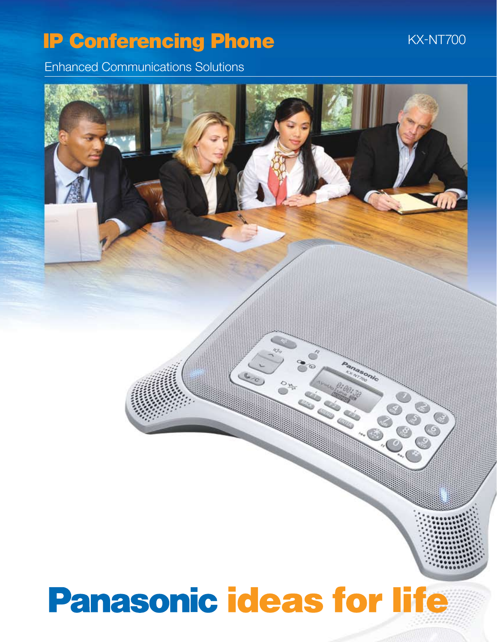### **IP Conferencing Phone**

**KX-NT700** 

Enhanced Communications Solutions

# **Panasonic ideas for life**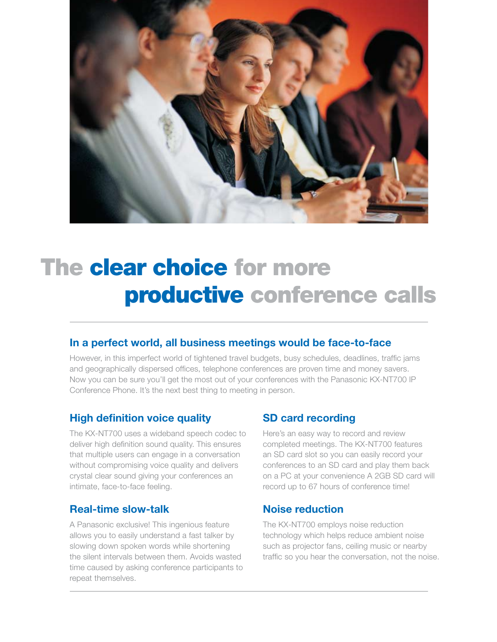

## The clear choice for more productive conference calls

#### **In a perfect world, all business meetings would be face-to-face**

However, in this imperfect world of tightened travel budgets, busy schedules, deadlines, traffic jams and geographically dispersed offices, telephone conferences are proven time and money savers. Now you can be sure you'll get the most out of your conferences with the Panasonic KX-NT700 IP Conference Phone. It's the next best thing to meeting in person.

#### **High definition voice quality**

The KX-NT700 uses a wideband speech codec to deliver high definition sound quality. This ensures that multiple users can engage in a conversation without compromising voice quality and delivers crystal clear sound giving your conferences an intimate, face-to-face feeling.

#### **Real-time slow-talk**

A Panasonic exclusive! This ingenious feature allows you to easily understand a fast talker by slowing down spoken words while shortening the silent intervals between them. Avoids wasted time caused by asking conference participants to repeat themselves.

#### **SD card recording**

Here's an easy way to record and review completed meetings. The KX-NT700 features an SD card slot so you can easily record your conferences to an SD card and play them back on a PC at your convenience A 2GB SD card will record up to 67 hours of conference time!

#### **Noise reduction**

The KX-NT700 employs noise reduction technology which helps reduce ambient noise such as projector fans, ceiling music or nearby traffic so you hear the conversation, not the noise.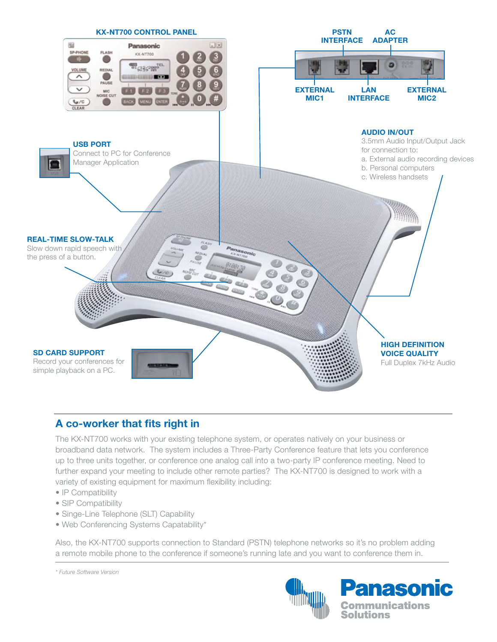

#### **A co-worker that fits right in**

The KX-NT700 works with your existing telephone system, or operates natively on your business or broadband data network. The system includes a Three-Party Conference feature that lets you conference up to three units together, or conference one analog call into a two-party IP conference meeting. Need to further expand your meeting to include other remote parties? The KX-NT700 is designed to work with a variety of existing equipment for maximum flexibility including:

- IP Compatibility
- SIP Compatibility
- Singe-Line Telephone (SLT) Capability
- Web Conferencing Systems Capatability\*

Also, the KX-NT700 supports connection to Standard (PSTN) telephone networks so it's no problem adding a remote mobile phone to the conference if someone's running late and you want to conference them in.

*\* Future Software Version*